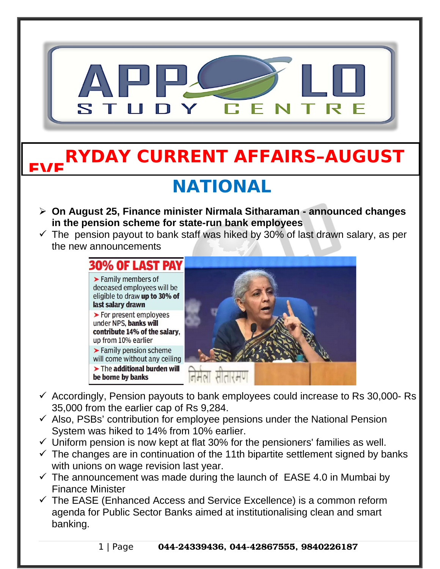

- $\checkmark$  Accordingly, Pension payouts to bank employees could increase to Rs 30,000-Rs 35,000 from the earlier cap of Rs 9,284.
- $\checkmark$  Also, PSBs' contribution for employee pensions under the National Pension System was hiked to 14% from 10% earlier.
- $\checkmark$  Uniform pension is now kept at flat 30% for the pensioners' families as well.
- $\checkmark$  The changes are in continuation of the 11th bipartite settlement signed by banks with unions on wage revision last year.
- $\checkmark$  The announcement was made during the launch of EASE 4.0 in Mumbai by Finance Minister
- $\checkmark$  The EASE (Enhanced Access and Service Excellence) is a common reform agenda for Public Sector Banks aimed at institutionalising clean and smart banking.

1 | Page 044-24339436, 044-42867555, 9840226187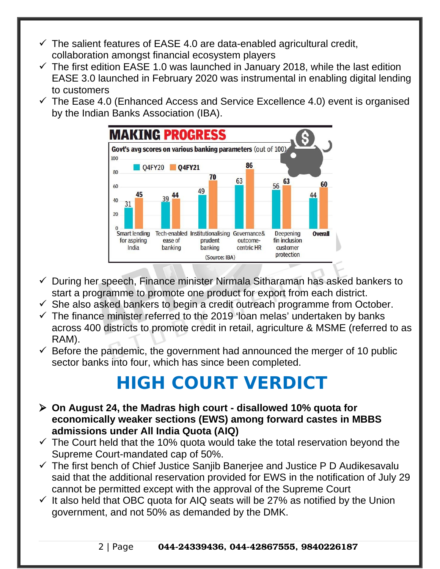- $\checkmark$  The salient features of EASE 4.0 are data-enabled agricultural credit, collaboration amongst financial ecosystem players
- $\checkmark$  The first edition EASE 1.0 was launched in January 2018, while the last edition EASE 3.0 launched in February 2020 was instrumental in enabling digital lending to customers
- $\checkmark$  The Ease 4.0 (Enhanced Access and Service Excellence 4.0) event is organised by the Indian Banks Association (IBA).



- $\checkmark$  During her speech, Finance minister Nirmala Sitharaman has asked bankers to start a programme to promote one product for export from each district.
- $\checkmark$  She also asked bankers to begin a credit outreach programme from October.
- $\checkmark$  The finance minister referred to the 2019 'loan melas' undertaken by banks across 400 districts to promote credit in retail, agriculture & MSME (referred to as RAM).
- $\checkmark$  Before the pandemic, the government had announced the merger of 10 public sector banks into four, which has since been completed.

## **HIGH COURT VERDICT**

- **On August 24, the Madras high court disallowed 10% quota for economically weaker sections (EWS) among forward castes in MBBS admissions under All India Quota (AIQ)**
- $\checkmark$  The Court held that the 10% quota would take the total reservation beyond the Supreme Court-mandated cap of 50%.
- $\checkmark$  The first bench of Chief Justice Sanjib Banerjee and Justice P D Audikesavalu said that the additional reservation provided for EWS in the notification of July 29 cannot be permitted except with the approval of the Supreme Court
- $\checkmark$  It also held that OBC quota for AIQ seats will be 27% as notified by the Union government, and not 50% as demanded by the DMK.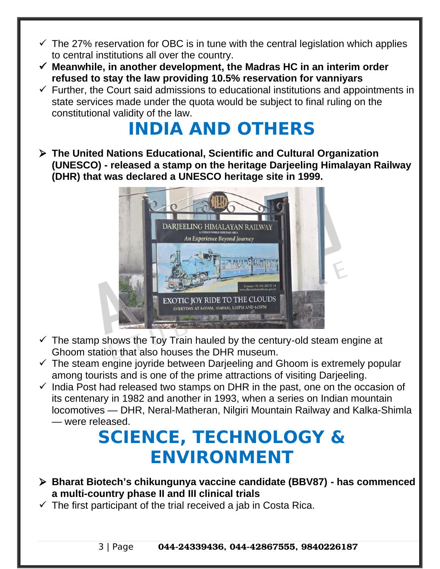- $\checkmark$  The 27% reservation for OBC is in tune with the central legislation which applies to central institutions all over the country.
- **Meanwhile, in another development, the Madras HC in an interim order refused to stay the law providing 10.5% reservation for vanniyars**
- $\checkmark$  Further, the Court said admissions to educational institutions and appointments in state services made under the quota would be subject to final ruling on the constitutional validity of the law.

# **INDIA AND OTHERS**

 **The United Nations Educational, Scientific and Cultural Organization (UNESCO) - released a stamp on the heritage Darjeeling Himalayan Railway (DHR) that was declared a UNESCO heritage site in 1999.**



- $\checkmark$  The stamp shows the Toy Train hauled by the century-old steam engine at Ghoom station that also houses the DHR museum.
- $\checkmark$  The steam engine joyride between Darieeling and Ghoom is extremely popular among tourists and is one of the prime attractions of visiting Darjeeling.
- $\checkmark$  India Post had released two stamps on DHR in the past, one on the occasion of its centenary in 1982 and another in 1993, when a series on Indian mountain locomotives — DHR, Neral-Matheran, Nilgiri Mountain Railway and Kalka-Shimla — were released.

### **SCIENCE, TECHNOLOGY & ENVIRONMENT**

- **Bharat Biotech's chikungunya vaccine candidate (BBV87) has commenced a multi-country phase II and III clinical trials**
- $\checkmark$  The first participant of the trial received a jab in Costa Rica.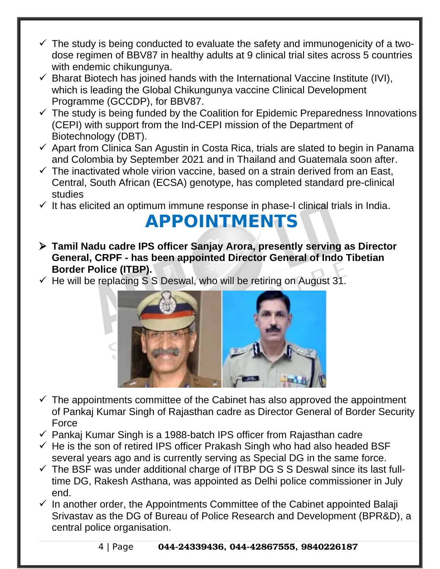- $\checkmark$  The study is being conducted to evaluate the safety and immunogenicity of a twodose regimen of BBV87 in healthy adults at 9 clinical trial sites across 5 countries with endemic chikungunya.
- $\checkmark$  Bharat Biotech has joined hands with the International Vaccine Institute (IVI), which is leading the Global Chikungunya vaccine Clinical Development Programme (GCCDP), for BBV87.
- $\checkmark$  The study is being funded by the Coalition for Epidemic Preparedness Innovations (CEPI) with support from the Ind-CEPI mission of the Department of Biotechnology (DBT).
- $\checkmark$  Apart from Clinica San Agustin in Costa Rica, trials are slated to begin in Panama and Colombia by September 2021 and in Thailand and Guatemala soon after.
- $\checkmark$  The inactivated whole virion vaccine, based on a strain derived from an East, Central, South African (ECSA) genotype, has completed standard pre-clinical studies
- $\checkmark$  It has elicited an optimum immune response in phase-I clinical trials in India.

#### **APPOINTMENTS**

- **Tamil Nadu cadre IPS officer Sanjay Arora, presently serving as Director General, CRPF - has been appointed Director General of Indo Tibetian Border Police (ITBP).**
- $\checkmark$  He will be replacing S S Deswal, who will be retiring on August 31.



- $\checkmark$  The appointments committee of the Cabinet has also approved the appointment of Pankaj Kumar Singh of Rajasthan cadre as Director General of Border Security Force
- $\checkmark$  Pankaj Kumar Singh is a 1988-batch IPS officer from Rajasthan cadre
- $\checkmark$  He is the son of retired IPS officer Prakash Singh who had also headed BSF several years ago and is currently serving as Special DG in the same force.
- $\checkmark$  The BSF was under additional charge of ITBP DG S S Deswal since its last fulltime DG, Rakesh Asthana, was appointed as Delhi police commissioner in July end.
- $\checkmark$  In another order, the Appointments Committee of the Cabinet appointed Balaji Srivastav as the DG of Bureau of Police Research and Development (BPR&D), a central police organisation.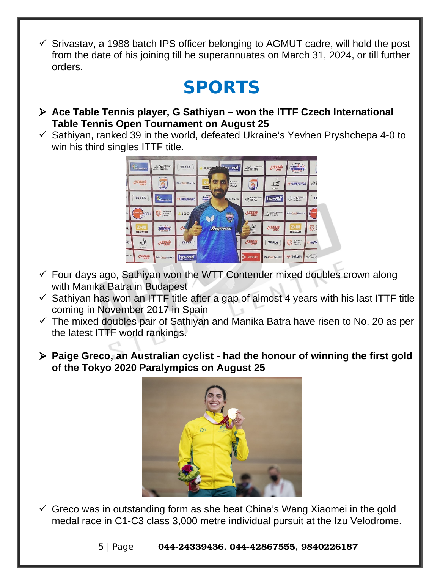$\checkmark$  Srivastav, a 1988 batch IPS officer belonging to AGMUT cadre, will hold the post from the date of his joining till he superannuates on March 31, 2024, or till further orders.

### **SPORTS**

- **Ace Table Tennis player, G Sathiyan won the ITTF Czech International Table Tennis Open Tournament on August 25**
- $\checkmark$  Sathiyan, ranked 39 in the world, defeated Ukraine's Yevhen Pryshchepa 4-0 to win his third singles ITTF title.



- $\checkmark$  Four days ago, Sathiyan won the WTT Contender mixed doubles crown along with Manika Batra in Budapest
- $\checkmark$  Sathiyan has won an ITTF title after a gap of almost 4 years with his last ITTF title coming in November 2017 in Spain
- $\checkmark$  The mixed doubles pair of Sathiyan and Manika Batra have risen to No. 20 as per the latest ITTF world rankings.
- **Paige Greco, an Australian cyclist had the honour of winning the first gold of the Tokyo 2020 Paralympics on August 25**



 $\checkmark$  Greco was in outstanding form as she beat China's Wang Xiaomei in the gold medal race in C1-C3 class 3,000 metre individual pursuit at the Izu Velodrome.